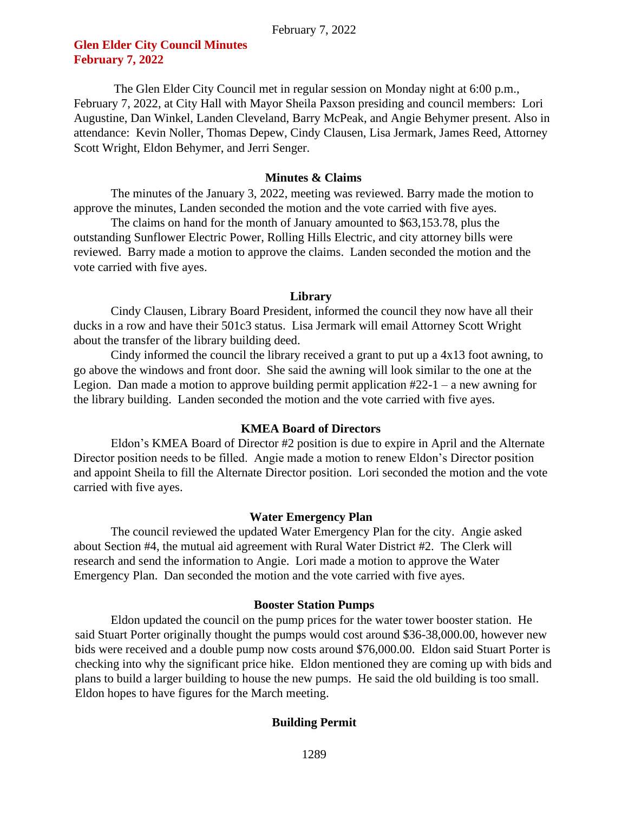# **Glen Elder City Council Minutes February 7, 2022**

The Glen Elder City Council met in regular session on Monday night at 6:00 p.m., February 7, 2022, at City Hall with Mayor Sheila Paxson presiding and council members: Lori Augustine, Dan Winkel, Landen Cleveland, Barry McPeak, and Angie Behymer present. Also in attendance: Kevin Noller, Thomas Depew, Cindy Clausen, Lisa Jermark, James Reed, Attorney Scott Wright, Eldon Behymer, and Jerri Senger.

# **Minutes & Claims**

The minutes of the January 3, 2022, meeting was reviewed. Barry made the motion to approve the minutes, Landen seconded the motion and the vote carried with five ayes.

The claims on hand for the month of January amounted to \$63,153.78, plus the outstanding Sunflower Electric Power, Rolling Hills Electric, and city attorney bills were reviewed. Barry made a motion to approve the claims. Landen seconded the motion and the vote carried with five ayes.

#### **Library**

Cindy Clausen, Library Board President, informed the council they now have all their ducks in a row and have their 501c3 status. Lisa Jermark will email Attorney Scott Wright about the transfer of the library building deed.

Cindy informed the council the library received a grant to put up a 4x13 foot awning, to go above the windows and front door. She said the awning will look similar to the one at the Legion. Dan made a motion to approve building permit application #22-1 – a new awning for the library building. Landen seconded the motion and the vote carried with five ayes.

# **KMEA Board of Directors**

Eldon's KMEA Board of Director #2 position is due to expire in April and the Alternate Director position needs to be filled. Angie made a motion to renew Eldon's Director position and appoint Sheila to fill the Alternate Director position. Lori seconded the motion and the vote carried with five ayes.

# **Water Emergency Plan**

The council reviewed the updated Water Emergency Plan for the city. Angie asked about Section #4, the mutual aid agreement with Rural Water District #2. The Clerk will research and send the information to Angie. Lori made a motion to approve the Water Emergency Plan. Dan seconded the motion and the vote carried with five ayes.

# **Booster Station Pumps**

Eldon updated the council on the pump prices for the water tower booster station. He said Stuart Porter originally thought the pumps would cost around \$36-38,000.00, however new bids were received and a double pump now costs around \$76,000.00. Eldon said Stuart Porter is checking into why the significant price hike. Eldon mentioned they are coming up with bids and plans to build a larger building to house the new pumps. He said the old building is too small. Eldon hopes to have figures for the March meeting.

# **Building Permit**